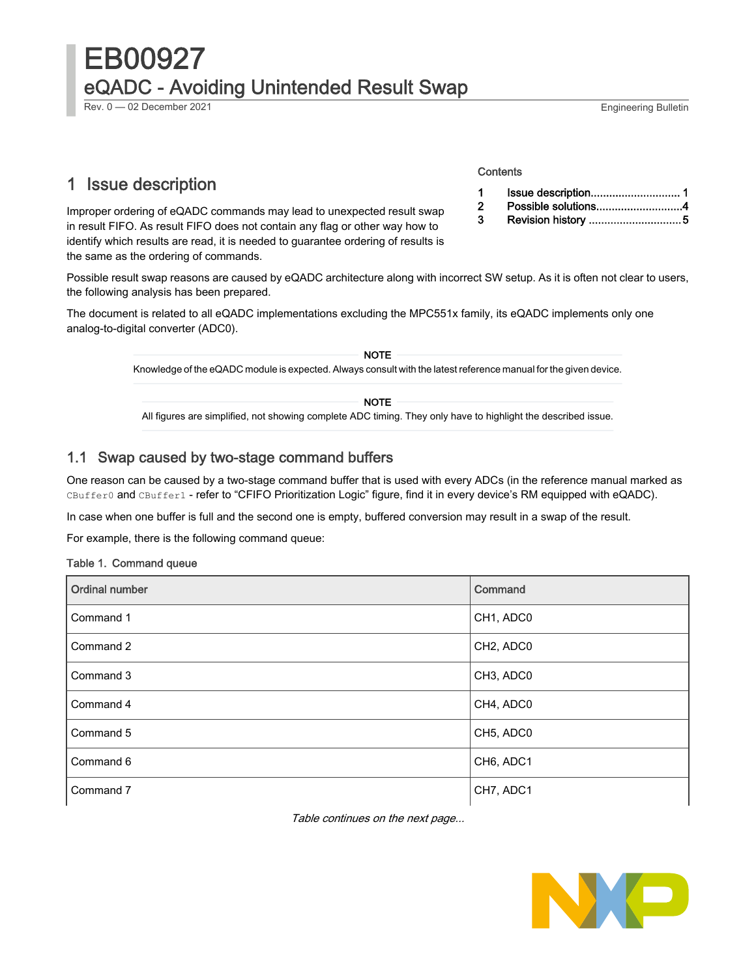# EB00927 eQADC - Avoiding Unintended Result Swap Rev. 0 — 02 December 2021 Engineering Bulletin

# 1 Issue description

Improper ordering of eQADC commands may lead to unexpected result swap in result FIFO. As result FIFO does not contain any flag or other way how to identify which results are read, it is needed to guarantee ordering of results is the same as the ordering of commands.

Possible result swap reasons are caused by eQADC architecture along with incorrect SW setup. As it is often not clear to users, the following analysis has been prepared.

The document is related to all eQADC implementations excluding the MPC551x family, its eQADC implements only one analog-to-digital converter (ADC0).

> Knowledge of the eQADC module is expected. Always consult with the latest reference manual for the given device. NOTE

| <b>NOTE</b>                                                                                                   |
|---------------------------------------------------------------------------------------------------------------|
| All figures are simplified, not showing complete ADC timing. They only have to highlight the described issue. |

### 1.1 Swap caused by two-stage command buffers

One reason can be caused by a two-stage command buffer that is used with every ADCs (in the reference manual marked as CBuffer0 and CBuffer1 - refer to "CFIFO Prioritization Logic" figure, find it in every device's RM equipped with eQADC).

In case when one buffer is full and the second one is empty, buffered conversion may result in a swap of the result.

For example, there is the following command queue:

#### Table 1. Command queue

| <b>Ordinal number</b> | Command   |
|-----------------------|-----------|
| Command 1             | CH1, ADC0 |
| Command 2             | CH2, ADC0 |
| Command 3             | CH3, ADC0 |
| Command 4             | CH4, ADC0 |
| Command 5             | CH5, ADC0 |
| Command 6             | CH6, ADC1 |
| Command 7             | CH7, ADC1 |

Table continues on the next page...



# **Contents**

- 1 Issue description............................. 1 [2](#page-3-0) [Possible solutions............................4](#page-3-0)
- [3](#page-4-0) [Revision history ..............................5](#page-4-0)

All figures are simplified, not showing complete ADC timing. They only have to highlight the described issue.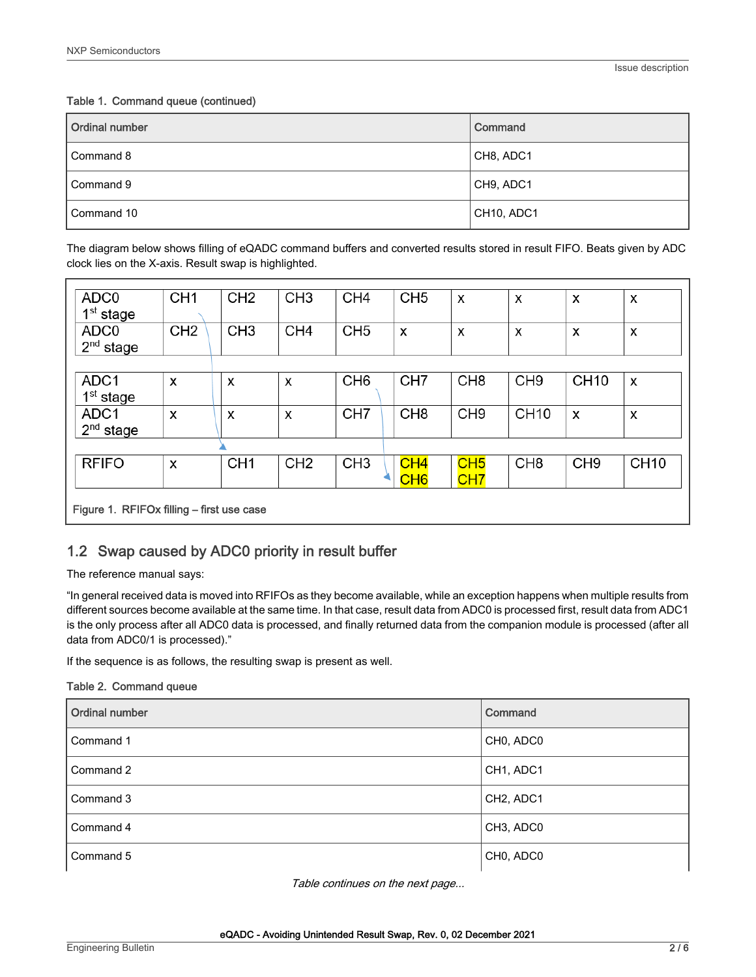#### Table 1. Command queue (continued)

| Ordinal number | <b>Command</b>    |
|----------------|-------------------|
| Command 8      | CH8, ADC1         |
| Command 9      | $\vert$ CH9, ADC1 |
| Command 10     | CH10, ADC1        |

The diagram below shows filling of eQADC command buffers and converted results stored in result FIFO. Beats given by ADC clock lies on the X-axis. Result swap is highlighted.

| ADC <sub>0</sub><br>1 <sup>st</sup> stage | CH <sub>1</sub> | CH <sub>2</sub> | CH <sub>3</sub> | CH <sub>4</sub> | CH <sub>5</sub> | X                                  | X               | X               | X           |
|-------------------------------------------|-----------------|-----------------|-----------------|-----------------|-----------------|------------------------------------|-----------------|-----------------|-------------|
| ADC <sub>0</sub><br>$2nd$ stage           | CH <sub>2</sub> | CH <sub>3</sub> | CH <sub>4</sub> | CH <sub>5</sub> | x               | X                                  | X               | X               | X           |
|                                           |                 |                 |                 |                 |                 |                                    |                 |                 |             |
| ADC <sub>1</sub><br>1 <sup>st</sup> stage | X               | X               | X               | CH <sub>6</sub> | CH <sub>7</sub> | CH <sub>8</sub>                    | CH <sub>9</sub> | <b>CH10</b>     | X           |
| ADC <sub>1</sub><br>2 <sup>nd</sup> stage | X               | X               | X               | CH <sub>7</sub> | CH <sub>8</sub> | CH <sub>9</sub>                    | <b>CH10</b>     | X               | X           |
|                                           |                 |                 |                 |                 |                 |                                    |                 |                 |             |
| <b>RFIFO</b>                              | X               | CH <sub>1</sub> | CH <sub>2</sub> | CH <sub>3</sub> | CH4<br>CH6      | CH <sub>5</sub><br>CH <sub>7</sub> | CH <sub>8</sub> | CH <sub>9</sub> | <b>CH10</b> |
| Figure 1. RFIFOx filling - first use case |                 |                 |                 |                 |                 |                                    |                 |                 |             |

### 1.2 Swap caused by ADC0 priority in result buffer

The reference manual says:

"In general received data is moved into RFIFOs as they become available, while an exception happens when multiple results from different sources become available at the same time. In that case, result data from ADC0 is processed first, result data from ADC1 is the only process after all ADC0 data is processed, and finally returned data from the companion module is processed (after all data from ADC0/1 is processed)."

If the sequence is as follows, the resulting swap is present as well.

#### Table 2. Command queue

| Ordinal number | Command                            |
|----------------|------------------------------------|
| Command 1      | CH0, ADC0                          |
| Command 2      | CH1, ADC1                          |
| Command 3      | CH <sub>2</sub> , ADC <sub>1</sub> |
| Command 4      | CH3, ADC0                          |
| Command 5      | CH0, ADC0                          |

Table continues on the next page...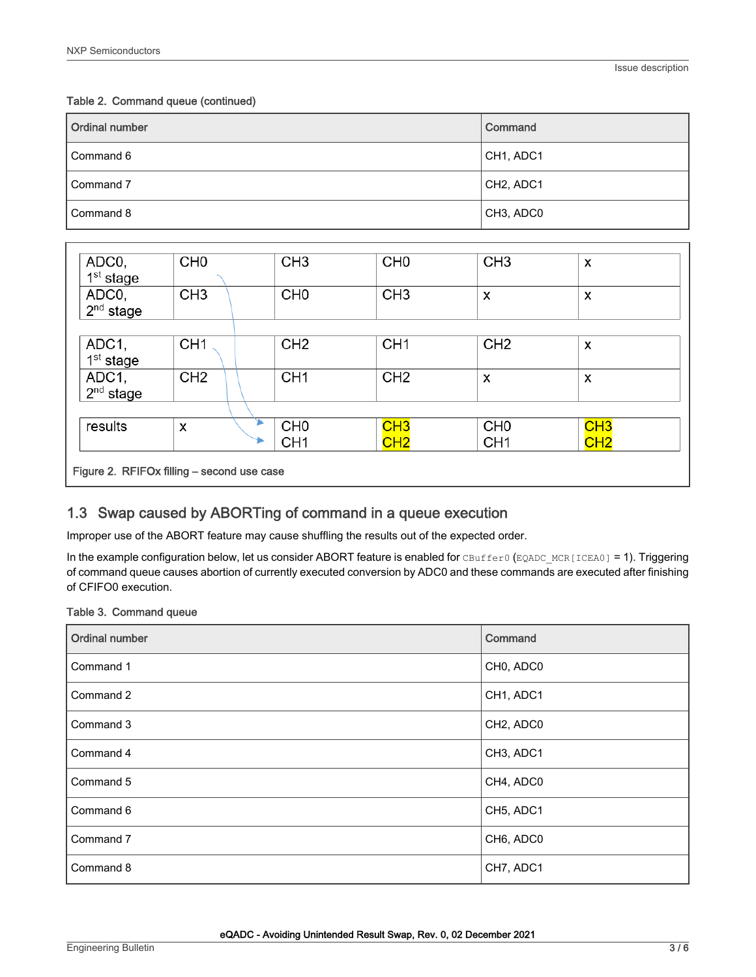#### Table 2. Command queue (continued)

| Ordinal number | Command                            |
|----------------|------------------------------------|
| Command 6      | CH1, ADC1                          |
| Command 7      | CH <sub>2</sub> , ADC <sub>1</sub> |
| Command 8      | CH3, ADC0                          |

| ADC0,<br>1 <sup>st</sup> stage             | CH <sub>0</sub> | CH <sub>3</sub> | CH <sub>0</sub> | CH <sub>3</sub> | X   |
|--------------------------------------------|-----------------|-----------------|-----------------|-----------------|-----|
| ADC0,<br>$2nd$ stage                       | CH <sub>3</sub> | CH <sub>0</sub> | CH <sub>3</sub> | X               | X   |
|                                            |                 |                 |                 |                 |     |
| ADC1,<br>1 <sup>st</sup> stage             | CH <sub>1</sub> | CH <sub>2</sub> | CH <sub>1</sub> | CH <sub>2</sub> | X   |
| ADC1,<br>$2nd$ stage                       | CH <sub>2</sub> | CH <sub>1</sub> | CH <sub>2</sub> | x               | x   |
|                                            |                 |                 |                 |                 |     |
| results                                    | X               | CH <sub>0</sub> | CH3             | CH <sub>0</sub> | CH3 |
|                                            |                 | CH <sub>1</sub> | CH2             | CH <sub>1</sub> | CH2 |
| Figure 2. RFIFOx filling - second use case |                 |                 |                 |                 |     |

### 1.3 Swap caused by ABORTing of command in a queue execution

Improper use of the ABORT feature may cause shuffling the results out of the expected order.

In the example configuration below, let us consider ABORT feature is enabled for CBuffer0 (EQADC\_MCR[ICEA0] = 1). Triggering of command queue causes abortion of currently executed conversion by ADC0 and these commands are executed after finishing of CFIFO0 execution.

#### Table 3. Command queue

| <b>Ordinal number</b> | Command   |
|-----------------------|-----------|
| Command 1             | CH0, ADC0 |
| Command 2             | CH1, ADC1 |
| Command 3             | CH2, ADC0 |
| Command 4             | CH3, ADC1 |
| Command 5             | CH4, ADC0 |
| Command 6             | CH5, ADC1 |
| Command 7             | CH6, ADC0 |
| Command 8             | CH7, ADC1 |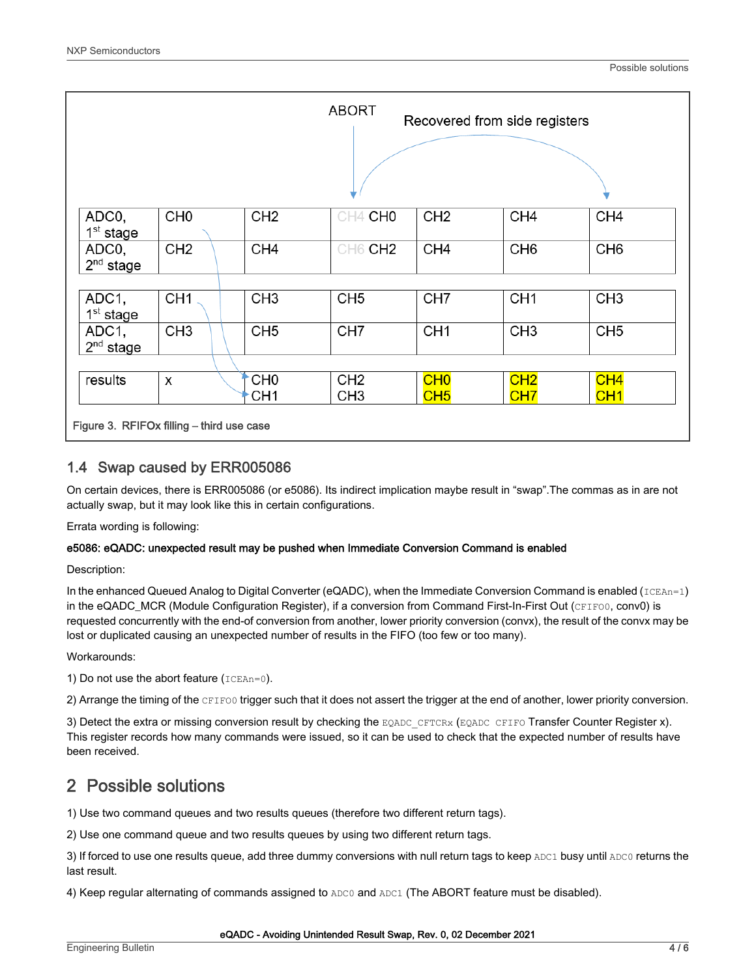<span id="page-3-0"></span>

|                                           |                 |                                    | <b>ABORT</b>                       |                        | Recovered from side registers |                        |
|-------------------------------------------|-----------------|------------------------------------|------------------------------------|------------------------|-------------------------------|------------------------|
|                                           |                 |                                    |                                    |                        |                               |                        |
| ADC0,<br>1 <sup>st</sup> stage            | CH <sub>0</sub> | CH <sub>2</sub>                    | <b>CH4 CH0</b>                     | CH <sub>2</sub>        | CH <sub>4</sub>               | CH <sub>4</sub>        |
| ADC0,<br>$2nd$ stage                      | CH <sub>2</sub> | CH <sub>4</sub>                    | <b>CH6 CH2</b>                     | CH <sub>4</sub>        | CH <sub>6</sub>               | CH <sub>6</sub>        |
| ADC1,                                     | CH <sub>1</sub> | CH <sub>3</sub>                    | CH <sub>5</sub>                    | CH <sub>7</sub>        | CH <sub>1</sub>               | CH <sub>3</sub>        |
| $1st$ stage                               |                 |                                    |                                    |                        |                               |                        |
| ADC1,<br>$2nd$ stage                      | CH <sub>3</sub> | CH <sub>5</sub>                    | CH <sub>7</sub>                    | CH <sub>1</sub>        | CH <sub>3</sub>               | CH <sub>5</sub>        |
|                                           |                 |                                    |                                    |                        |                               |                        |
| results                                   | X               | CH <sub>0</sub><br>CH <sub>1</sub> | CH <sub>2</sub><br>CH <sub>3</sub> | CH <sub>0</sub><br>CH5 | CH2<br>CH7                    | CH4<br>CH <sub>1</sub> |
| Figure 3. RFIFOx filling - third use case |                 |                                    |                                    |                        |                               |                        |

### 1.4 Swap caused by ERR005086

On certain devices, there is ERR005086 (or e5086). Its indirect implication maybe result in "swap".The commas as in are not actually swap, but it may look like this in certain configurations.

Errata wording is following:

#### e5086: eQADC: unexpected result may be pushed when Immediate Conversion Command is enabled

Description:

In the enhanced Queued Analog to Digital Converter (eQADC), when the Immediate Conversion Command is enabled  $(ICEAn=1)$ in the eQADC\_MCR (Module Configuration Register), if a conversion from Command First-In-First Out (CFIFO0, conv0) is requested concurrently with the end-of conversion from another, lower priority conversion (convx), the result of the convx may be lost or duplicated causing an unexpected number of results in the FIFO (too few or too many).

Workarounds:

1) Do not use the abort feature  $(ICEAn=0)$ .

2) Arrange the timing of the CFIFO0 trigger such that it does not assert the trigger at the end of another, lower priority conversion.

3) Detect the extra or missing conversion result by checking the EQADC CFTCRx (EQADC CFIFO Transfer Counter Register x). This register records how many commands were issued, so it can be used to check that the expected number of results have been received.

## 2 Possible solutions

1) Use two command queues and two results queues (therefore two different return tags).

2) Use one command queue and two results queues by using two different return tags.

3) If forced to use one results queue, add three dummy conversions with null return tags to keep ADC1 busy until ADC0 returns the last result.

4) Keep regular alternating of commands assigned to ADC0 and ADC1 (The ABORT feature must be disabled).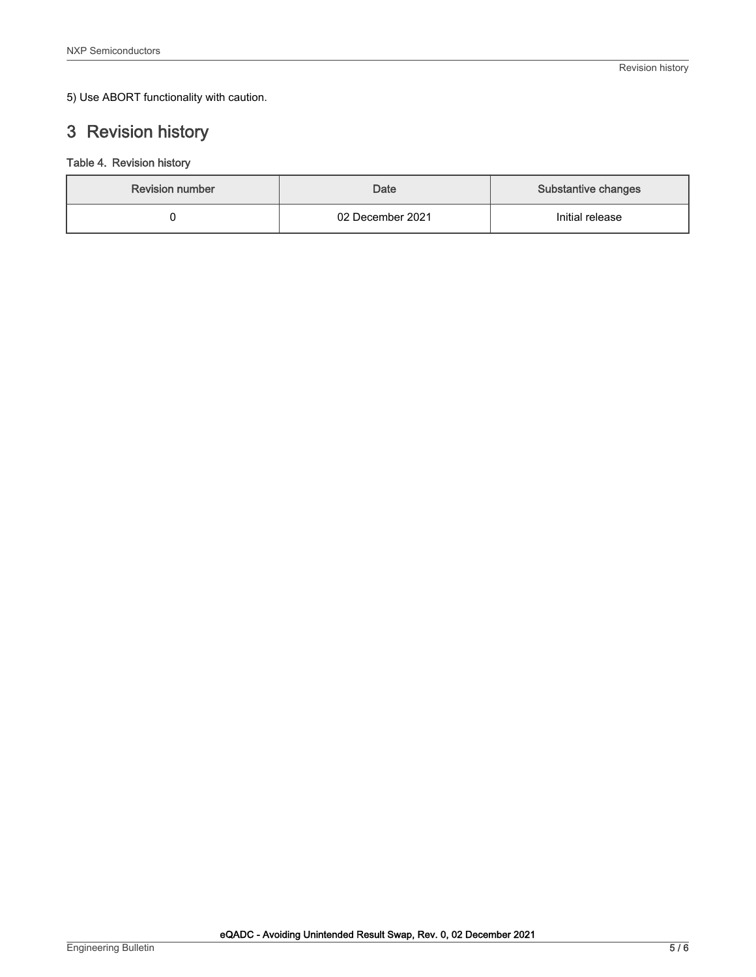#### <span id="page-4-0"></span>5) Use ABORT functionality with caution.

# 3 Revision history

#### Table 4. Revision history

| <b>Revision number</b> | Date             | Substantive changes |  |
|------------------------|------------------|---------------------|--|
|                        | 02 December 2021 | Initial release     |  |